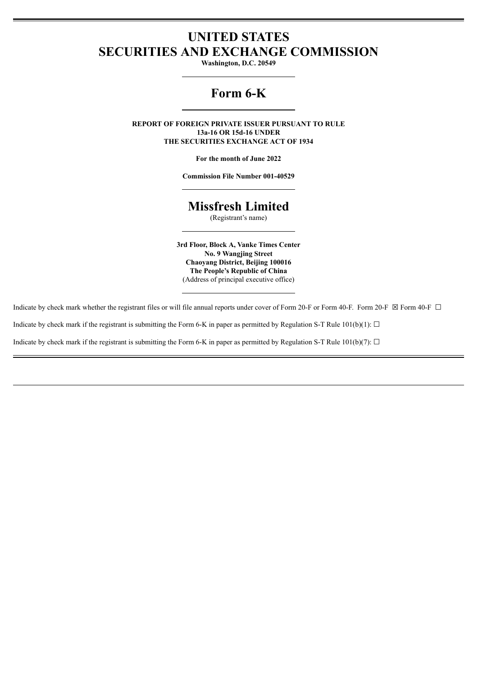## **UNITED STATES SECURITIES AND EXCHANGE COMMISSION**

**Washington, D.C. 20549**

# **Form 6-K**

**REPORT OF FOREIGN PRIVATE ISSUER PURSUANT TO RULE 13a-16 OR 15d-16 UNDER THE SECURITIES EXCHANGE ACT OF 1934**

**For the month of June 2022**

**Commission File Number 001-40529**

## **Missfresh Limited**

(Registrant's name)

**3rd Floor, Block A, Vanke Times Center No. 9 Wangjing Street Chaoyang District, Beijing 100016 The People's Republic of China** (Address of principal executive office)

Indicate by check mark whether the registrant files or will file annual reports under cover of Form 20-F or Form 40-F. Form 20-F  $\boxtimes$  Form 40-F  $\Box$ 

Indicate by check mark if the registrant is submitting the Form 6-K in paper as permitted by Regulation S-T Rule  $101(b)(1)$ :  $\Box$ 

Indicate by check mark if the registrant is submitting the Form 6-K in paper as permitted by Regulation S-T Rule 101(b)(7):  $\Box$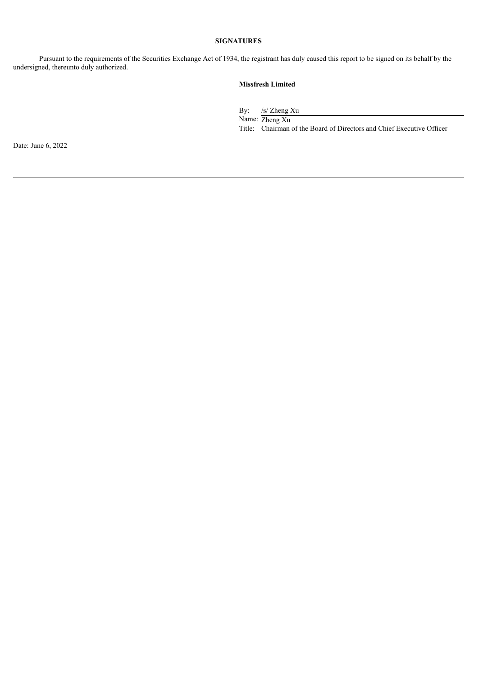### **SIGNATURES**

Pursuant to the requirements of the Securities Exchange Act of 1934, the registrant has duly caused this report to be signed on its behalf by the undersigned, thereunto duly authorized.

## **Missfresh Limited**

By: /s/ Zheng Xu Name: Zheng Xu Title: Chairman of the Board of Directors and Chief Executive Officer

Date: June 6, 2022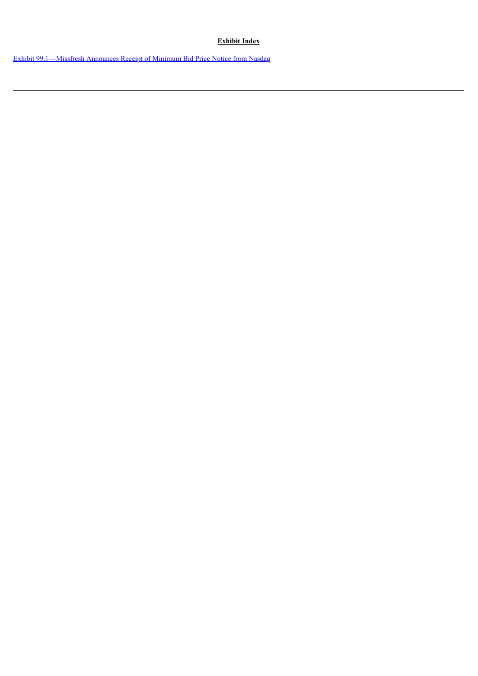## **Exhibit Index**

Exhibit [99.1—Missfresh](#page-3-0) Announces Receipt of Minimum Bid Price Notice from Nasdaq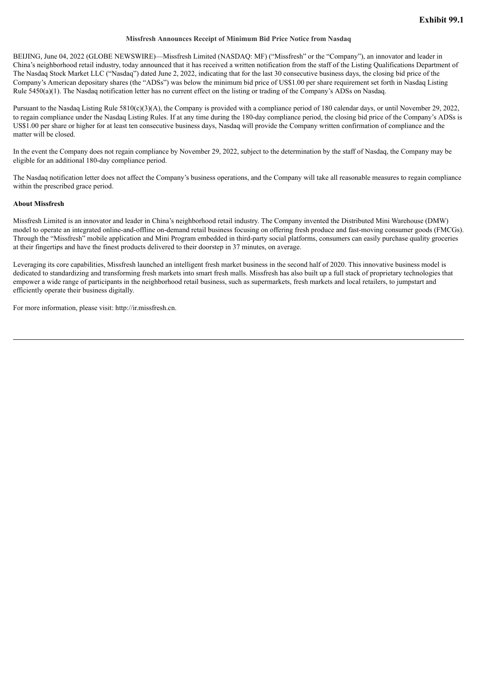#### **Missfresh Announces Receipt of Minimum Bid Price Notice from Nasdaq**

<span id="page-3-0"></span>BEIJING, June 04, 2022 (GLOBE NEWSWIRE)—Missfresh Limited (NASDAQ: MF) ("Missfresh" or the "Company"), an innovator and leader in China's neighborhood retail industry, today announced that it has received a written notification from the staff of the Listing Qualifications Department of The Nasdaq Stock Market LLC ("Nasdaq") dated June 2, 2022, indicating that for the last 30 consecutive business days, the closing bid price of the Company's American depositary shares (the "ADSs") was below the minimum bid price of US\$1.00 per share requirement set forth in Nasdaq Listing Rule 5450(a)(1). The Nasdaq notification letter has no current effect on the listing or trading of the Company's ADSs on Nasdaq.

Pursuant to the Nasdaq Listing Rule 5810(c)(3)(A), the Company is provided with a compliance period of 180 calendar days, or until November 29, 2022, to regain compliance under the Nasdaq Listing Rules. If at any time during the 180-day compliance period, the closing bid price of the Company's ADSs is US\$1.00 per share or higher for at least ten consecutive business days, Nasdaq will provide the Company written confirmation of compliance and the matter will be closed.

In the event the Company does not regain compliance by November 29, 2022, subject to the determination by the staff of Nasdaq, the Company may be eligible for an additional 180-day compliance period.

The Nasdaq notification letter does not affect the Company's business operations, and the Company will take all reasonable measures to regain compliance within the prescribed grace period.

#### **About Missfresh**

Missfresh Limited is an innovator and leader in China's neighborhood retail industry. The Company invented the Distributed Mini Warehouse (DMW) model to operate an integrated online-and-offline on-demand retail business focusing on offering fresh produce and fast-moving consumer goods (FMCGs). Through the "Missfresh" mobile application and Mini Program embedded in third-party social platforms, consumers can easily purchase quality groceries at their fingertips and have the finest products delivered to their doorstep in 37 minutes, on average.

Leveraging its core capabilities, Missfresh launched an intelligent fresh market business in the second half of 2020. This innovative business model is dedicated to standardizing and transforming fresh markets into smart fresh malls. Missfresh has also built up a full stack of proprietary technologies that empower a wide range of participants in the neighborhood retail business, such as supermarkets, fresh markets and local retailers, to jumpstart and efficiently operate their business digitally.

For more information, please visit: http://ir.missfresh.cn.